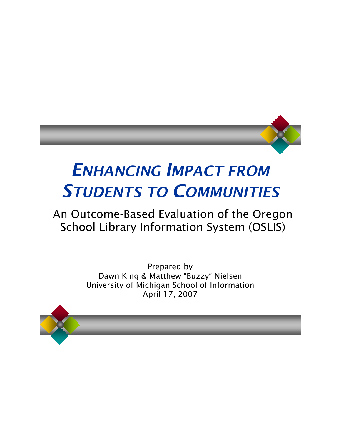

# *ENHANCING IMPACT FROM STUDENTS TO COMMUNITIES*

## An Outcome-Based Evaluation of the Oregon School Library Information System (OSLIS)

Prepared by Dawn King & Matthew "Buzzy" Nielsen University of Michigan School of Information April 17, 2007

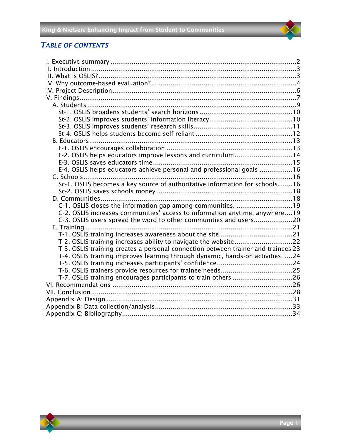#### *TABLE OF CONTENTS*

| E-2. OSLIS helps educators improve lessons and curriculum14                       |  |
|-----------------------------------------------------------------------------------|--|
|                                                                                   |  |
| E-4. OSLIS helps educators achieve personal and professional goals 16             |  |
|                                                                                   |  |
| Sc-1. OSLIS becomes a key source of authoritative information for schools. 16     |  |
|                                                                                   |  |
|                                                                                   |  |
| C-1. OSLIS closes the information gap among communities. 19                       |  |
| C-2. OSLIS increases communities' access to information anytime, anywhere19       |  |
| C-3. OSLIS users spread the word to other communities and users20                 |  |
|                                                                                   |  |
|                                                                                   |  |
|                                                                                   |  |
| T-3. OSLIS training creates a personal connection between trainer and trainees 23 |  |
| T-4. OSLIS training improves learning through dynamic, hands-on activities. 24    |  |
|                                                                                   |  |
|                                                                                   |  |
| T-7. OSLIS training encourages participants to train others 26                    |  |
|                                                                                   |  |
|                                                                                   |  |
|                                                                                   |  |
|                                                                                   |  |
|                                                                                   |  |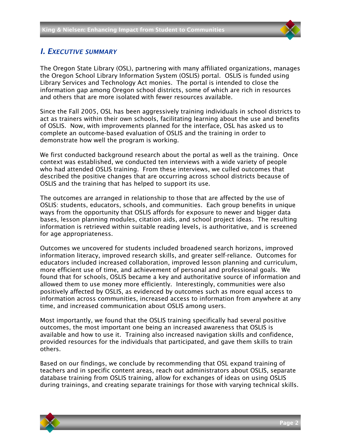

#### <span id="page-2-0"></span>*I. EXECUTIVE SUMMARY*

The Oregon State Library (OSL), partnering with many affiliated organizations, manages the Oregon School Library Information System (OSLIS) portal. OSLIS is funded using Library Services and Technology Act monies. The portal is intended to close the information gap among Oregon school districts, some of which are rich in resources and others that are more isolated with fewer resources available.

Since the Fall 2005, OSL has been aggressively training individuals in school districts to act as trainers within their own schools, facilitating learning about the use and benefits of OSLIS. Now, with improvements planned for the interface, OSL has asked us to complete an outcome-based evaluation of OSLIS and the training in order to demonstrate how well the program is working.

We first conducted background research about the portal as well as the training. Once context was established, we conducted ten interviews with a wide variety of people who had attended OSLIS training. From these interviews, we culled outcomes that described the positive changes that are occurring across school districts because of OSLIS and the training that has helped to support its use.

The outcomes are arranged in relationship to those that are affected by the use of OSLIS: students, educators, schools, and communities. Each group benefits in unique ways from the opportunity that OSLIS affords for exposure to newer and bigger data bases, lesson planning modules, citation aids, and school project ideas. The resulting information is retrieved within suitable reading levels, is authoritative, and is screened for age appropriateness.

Outcomes we uncovered for students included broadened search horizons, improved information literacy, improved research skills, and greater self-reliance. Outcomes for educators included increased collaboration, improved lesson planning and curriculum, more efficient use of time, and achievement of personal and professional goals. We found that for schools, OSLIS became a key and authoritative source of information and allowed them to use money more efficiently. Interestingly, communities were also positively affected by OSLIS, as evidenced by outcomes such as more equal access to information across communities, increased access to information from anywhere at any time, and increased communication about OSLIS among users.

Most importantly, we found that the OSLIS training specifically had several positive outcomes, the most important one being an increased awareness that OSLIS is available and how to use it. Training also increased navigation skills and confidence, provided resources for the individuals that participated, and gave them skills to train others.

Based on our findings, we conclude by recommending that OSL expand training of teachers and in specific content areas, reach out administrators about OSLIS, separate database training from OSLIS training, allow for exchanges of ideas on using OSLIS during trainings, and creating separate trainings for those with varying technical skills.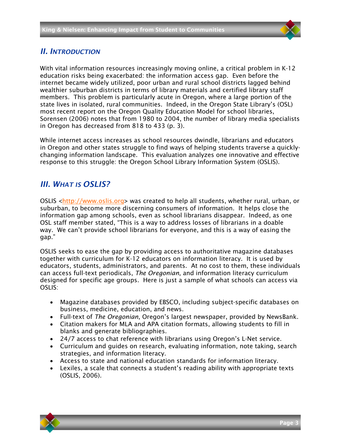#### <span id="page-3-0"></span>*II. INTRODUCTION*

With vital information resources increasingly moving online, a critical problem in K-12 education risks being exacerbated: the information access gap. Even before the internet became widely utilized, poor urban and rural school districts lagged behind wealthier suburban districts in terms of library materials and certified library staff members. This problem is particularly acute in Oregon, where a large portion of the state lives in isolated, rural communities. Indeed, in the Oregon State Library's (OSL) most recent report on the Oregon Quality Education Model for school libraries, Sorensen (2006) notes that from 1980 to 2004, the number of library media specialists in Oregon has decreased from 818 to 433 (p. 3).

While internet access increases as school resources dwindle, librarians and educators in Oregon and other states struggle to find ways of helping students traverse a quicklychanging information landscape. This evaluation analyzes one innovative and effective response to this struggle: the Oregon School Library Information System (OSLIS).

#### <span id="page-3-1"></span>*III. WHAT IS OSLIS?*

OSLIS [<http://www.oslis.org>](http://www.oslis.org/) was created to help all students, whether rural, urban, or suburban, to become more discerning consumers of information. It helps close the information gap among schools, even as school librarians disappear. Indeed, as one OSL staff member stated, "This is a way to address losses of librarians in a doable way. We can't provide school librarians for everyone, and this is a way of easing the gap."

OSLIS seeks to ease the gap by providing access to authoritative magazine databases together with curriculum for K-12 educators on information literacy. It is used by educators, students, administrators, and parents. At no cost to them, these individuals can access full-text periodicals, *The Oregonian*, and information literacy curriculum designed for specific age groups. Here is just a sample of what schools can access via OSLIS:

- Magazine databases provided by EBSCO, including subject-specific databases on business, medicine, education, and news.
- Full-text of *The Oregonian*, Oregon's largest newspaper, provided by NewsBank.
- Citation makers for MLA and APA citation formats, allowing students to fill in blanks and generate bibliographies.
- 24/7 access to chat reference with librarians using Oregon's L-Net service.
- Curriculum and guides on research, evaluating information, note taking, search strategies, and information literacy.
- Access to state and national education standards for information literacy.
- Lexiles, a scale that connects a student's reading ability with appropriate texts (OSLIS, 2006).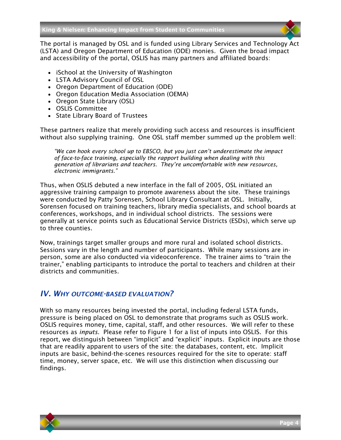The portal is managed by OSL and is funded using Library Services and Technology Act (LSTA) and Oregon Department of Education (ODE) monies. Given the broad impact and accessibility of the portal, OSLIS has many partners and affiliated boards:

- iSchool at the University of Washington
- LSTA Advisory Council of OSL
- Oregon Department of Education (ODE)
- Oregon Education Media Association (OEMA)
- Oregon State Library (OSL)
- OSLIS Committee
- State Library Board of Trustees

These partners realize that merely providing such access and resources is insufficient without also supplying training. One OSL staff member summed up the problem well:

*"We can hook every school up to EBSCO, but you just can't underestimate the impact of face-to-face training, especially the rapport building when dealing with this generation of librarians and teachers. They're uncomfortable with new resources, electronic immigrants."*

Thus, when OSLIS debuted a new interface in the fall of 2005, OSL initiated an aggressive training campaign to promote awareness about the site. These trainings were conducted by Patty Sorensen, School Library Consultant at OSL. Initially, Sorensen focused on training teachers, library media specialists, and school boards at conferences, workshops, and in individual school districts. The sessions were generally at service points such as Educational Service Districts (ESDs), which serve up to three counties.

Now, trainings target smaller groups and more rural and isolated school districts. Sessions vary in the length and number of participants. While many sessions are inperson, some are also conducted via videoconference. The trainer aims to "train the trainer," enabling participants to introduce the portal to teachers and children at their districts and communities.

#### <span id="page-4-0"></span>*IV. WHY OUTCOME-BASED EVALUATION?*

With so many resources being invested the portal, including federal LSTA funds, pressure is being placed on OSL to demonstrate that programs such as OSLIS work. OSLIS requires money, time, capital, staff, and other resources. We will refer to these resources as *inputs*. Please refer to [Figure 1](#page-5-0) for a list of inputs into OSLIS. For this report, we distinguish between "implicit" and "explicit" inputs. Explicit inputs are those that are readily apparent to users of the site: the databases, content, etc. Implicit inputs are basic, behind-the-scenes resources required for the site to operate: staff time, money, server space, etc. We will use this distinction when discussing our findings.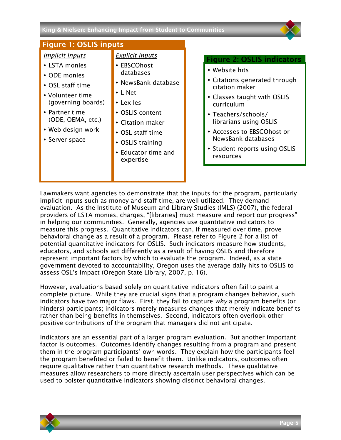#### <span id="page-5-2"></span><span id="page-5-1"></span>King & Nielsen: Enhancing Impact from Student to Communities

<span id="page-5-0"></span>

Lawmakers want agencies to demonstrate that the inputs for the program, particularly implicit inputs such as money and staff time, are well utilized. They demand evaluation. As the Institute of Museum and Library Studies (IMLS) (2007), the federal providers of LSTA monies, charges, "[libraries] must measure and report our progress" in helping our communities. Generally, agencies use quantitative indicators to measure this progress. Quantitative indicators can, if measured over time, prove behavioral change as a result of a program. Please refer to [Figure](#page-5-1) [2](#page-5-1) for a list of potential quantitative indicators for OSLIS. Such indicators measure how students, educators, and schools act differently as a result of having OSLIS and therefore represent important factors by which to evaluate the program. Indeed, as a state government devoted to accountability, Oregon uses the average daily hits to OSLIS to assess OSL's impact (Oregon State Library, 2007, p. 16).

However, evaluations based solely on quantitative indicators often fail to paint a complete picture. While they are crucial signs that a program changes behavior, such indicators have two major flaws. First, they fail to capture *why* a program benefits (or hinders) participants; indicators merely measures changes that merely indicate benefits rather than being benefits in themselves. Second, indicators often overlook other positive contributions of the program that managers did not anticipate.

Indicators are an essential part of a larger program evaluation. But another important factor is outcomes. Outcomes identify changes resulting from a program and present them in the program participants' own words. They explain how the participants feel the program benefited or failed to benefit them. Unlike indicators, outcomes often require qualitative rather than quantitative research methods. These qualitative measures allow researchers to more directly ascertain user perspectives which can be used to bolster quantitative indicators showing distinct behavioral changes.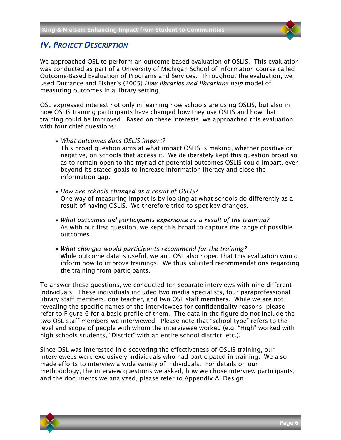#### <span id="page-6-0"></span>*IV. PROJECT DESCRIPTION*

We approached OSL to perform an outcome-based evaluation of OSLIS. This evaluation was conducted as part of a University of Michigan School of Information course called Outcome-Based Evaluation of Programs and Services. Throughout the evaluation, we used Durrance and Fisher's (2005) *How libraries and librarians help* model of measuring outcomes in a library setting.

OSL expressed interest not only in learning how schools are using OSLIS, but also in how OSLIS training participants have changed how they use OSLIS and how that training could be improved. Based on these interests, we approached this evaluation with four chief questions:

• *What outcomes does OSLIS impart?*

This broad question aims at what impact OSLIS is making, whether positive or negative, on schools that access it. We deliberately kept this question broad so as to remain open to the myriad of potential outcomes OSLIS could impart, even beyond its stated goals to increase information literacy and close the information gap.

- *How are schools changed as a result of OSLIS?* One way of measuring impact is by looking at what schools do differently as a result of having OSLIS. We therefore tried to spot key changes.
- *What outcomes did participants experience as a result of the training?* As with our first question, we kept this broad to capture the range of possible outcomes.
- *What changes would participants recommend for the training?* While outcome data is useful, we and OSL also hoped that this evaluation would inform how to improve trainings. We thus solicited recommendations regarding the training from participants.

To answer these questions, we conducted ten separate interviews with nine different individuals. These individuals included two media specialists, four paraprofessional library staff members, one teacher, and two OSL staff members. While we are not revealing the specific names of the interviewees for confidentiality reasons, please refer to [Figure](#page-10-1) 6 for a basic profile of them. The data in the figure do not include the two OSL staff members we interviewed. Please note that "school type" refers to the level and scope of people with whom the interviewee worked (e.g. "High" worked with high schools students, "District" with an entire school district, etc.).

Since OSL was interested in discovering the effectiveness of OSLIS training, our interviewees were exclusively individuals who had participated in training. We also made efforts to interview a wide variety of individuals. For details on our methodology, the interview questions we asked, how we chose interview participants, and the documents we analyzed, please refer to Appendix A: Design.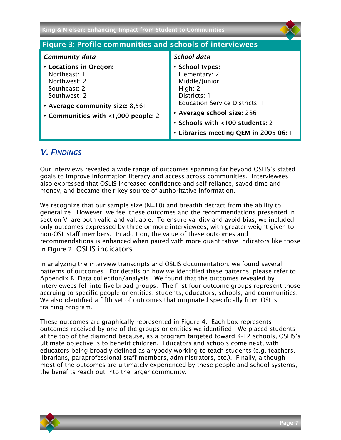| King & Nielsen: Enhancing Impact from Student to Communities                                                                                                     |                                                                                                                                                                                                                                      |  |  |
|------------------------------------------------------------------------------------------------------------------------------------------------------------------|--------------------------------------------------------------------------------------------------------------------------------------------------------------------------------------------------------------------------------------|--|--|
| <b>Figure 3: Profile communities and schools of interviewees</b>                                                                                                 |                                                                                                                                                                                                                                      |  |  |
| <b>Community data</b>                                                                                                                                            | School data                                                                                                                                                                                                                          |  |  |
| • Locations in Oregon:<br>Northeast: 1<br>Northwest: 2<br>Southeast: 2<br>Southwest: 2<br>• Average community size: 8,561<br>• Communities with <1,000 people: 2 | • School types:<br>Elementary: 2<br>Middle/Junior: 1<br>High: $2$<br>Districts: 1<br><b>Education Service Districts: 1</b><br>• Average school size: 286<br>• Schools with <100 students: 2<br>• Libraries meeting QEM in 2005-06: 1 |  |  |

#### <span id="page-7-0"></span>*V. FINDINGS*

Our interviews revealed a wide range of outcomes spanning far beyond OSLIS's stated goals to improve information literacy and access across communities. Interviewees also expressed that OSLIS increased confidence and self-reliance, saved time and money, and became their key source of authoritative information.

We recognize that our sample size  $(N=10)$  and breadth detract from the ability to generalize. However, we feel these outcomes and the recommendations presented in section VI are both valid and valuable. To ensure validity and avoid bias, we included only outcomes expressed by three or more interviewees, with greater weight given to non-OSL staff members. In addition, the value of these outcomes and recommendations is enhanced when paired with more quantitative indicators like those in [Figure 2:](#page-5-2) [OSLIS indicators.](#page-5-2)

In analyzing the interview transcripts and OSLIS documentation, we found several patterns of outcomes. For details on how we identified these patterns, please refer to Appendix B: Data collection/analysis. We found that the outcomes revealed by interviewees fell into five broad groups. The first four outcome groups represent those accruing to specific people or entities: students, educators, schools, and communities. We also identified a fifth set of outcomes that originated specifically from OSL's training program.

These outcomes are graphically represented in [Figure 4.](#page-8-1) Each box represents outcomes received by one of the groups or entities we identified. We placed students at the top of the diamond because, as a program targeted toward K-12 schools, OSLIS's ultimate objective is to benefit children. Educators and schools come next, with educators being broadly defined as anybody working to teach students (e.g. teachers, librarians, paraprofessional staff members, administrators, etc.). Finally, although most of the outcomes are ultimately experienced by these people and school systems, the benefits reach out into the larger community.

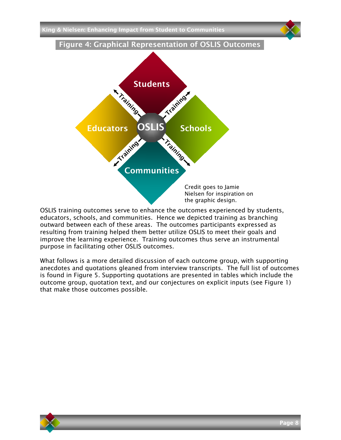King & Nielsen: Enhancing Impact from Student to Communities

<span id="page-8-1"></span>

OSLIS training outcomes serve to enhance the outcomes experienced by students, educators, schools, and communities. Hence we depicted training as branching outward between each of these areas. The outcomes participants expressed as resulting from training helped them better utilize OSLIS to meet their goals and improve the learning experience. Training outcomes thus serve an instrumental purpose in facilitating other OSLIS outcomes.

<span id="page-8-0"></span>What follows is a more detailed discussion of each outcome group, with supporting anecdotes and quotations gleaned from interview transcripts. The full list of outcomes is found in [Figure 5.](#page-9-1) Supporting quotations are presented in tables which include the outcome group, quotation text, and our conjectures on explicit inputs (see [Figure 1\)](#page-5-0) that make those outcomes possible.

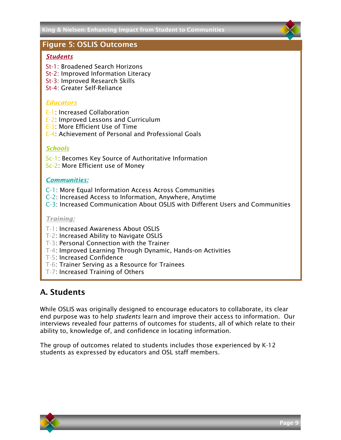#### <span id="page-9-1"></span>Figure 5: OSLIS Outcomes

#### *Students*

- St-1: Broadened Search Horizons
- St-2: Improved Information Literacy
- St-3: Improved Research Skills
- St-4: Greater Self-Reliance

#### *Educators*

- E-1: Increased Collaboration
- E-2: Improved Lessons and Curriculum
- E-3: More Efficient Use of Time
- E-4: Achievement of Personal and Professional Goals

#### *Schools*

- Sc-1: Becomes Key Source of Authoritative Information
- Sc-2: More Efficient use of Money

#### *Communities:*

- C-1: More Equal Information Access Across Communities
- C-2: Increased Access to Information, Anywhere, Anytime
- C-3: Increased Communication About OSLIS with Different Users and Communities

#### *Training:*

- T-1: Increased Awareness About OSLIS
- T-2: Increased Ability to Navigate OSLIS
- T-3: Personal Connection with the Trainer
- T-4: Improved Learning Through Dynamic, Hands-on Activities
- T-5: Increased Confidence
- T-6: Trainer Serving as a Resource for Trainees
- T-7: Increased Training of Others

### A. Students

While OSLIS was originally designed to encourage educators to collaborate, its clear end purpose was to help *students* learn and improve their access to information. Our interviews revealed four patterns of outcomes for students, all of which relate to their ability to, knowledge of, and confidence in locating information.

<span id="page-9-0"></span>The group of outcomes related to students includes those experienced by K-12 students as expressed by educators and OSL staff members.

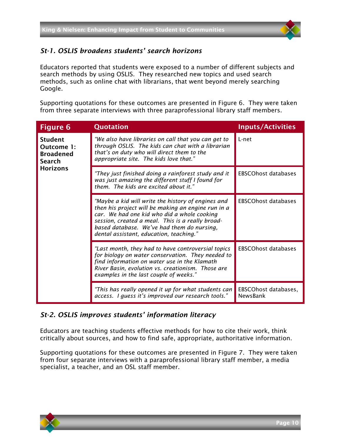

#### *St-1. OSLIS broadens students' search horizons*

Educators reported that students were exposed to a number of different subjects and search methods by using OSLIS. They researched new topics and used search methods, such as online chat with librarians, that went beyond merely searching Google.

Supporting quotations for these outcomes are presented in [Figure 6.](#page-10-1) They were taken from three separate interviews with three paraprofessional library staff members.

<span id="page-10-1"></span>

| <b>Figure 6</b>                                            | <b>Quotation</b>                                                                                                                                                                                                                                                                                     | <b>Inputs/Activities</b>         |
|------------------------------------------------------------|------------------------------------------------------------------------------------------------------------------------------------------------------------------------------------------------------------------------------------------------------------------------------------------------------|----------------------------------|
| <b>Student</b><br>Outcome 1:<br><b>Broadened</b><br>Search | "We also have libraries on call that you can get to<br>through OSLIS. The kids can chat with a librarian<br>that's on duty who will direct them to the<br>appropriate site. The kids love that."                                                                                                     | L-net                            |
| <b>Horizons</b>                                            | "They just finished doing a rainforest study and it<br>was just amazing the different stuff I found for<br>them. The kids are excited about it."                                                                                                                                                     | <b>EBSCOhost databases</b>       |
|                                                            | "Maybe a kid will write the history of engines and<br>then his project will be making an engine run in a<br>car. We had one kid who did a whole cooking<br>session, created a meal. This is a really broad-<br>based database. We've had them do nursing,<br>dental assistant, education, teaching." | <b>EBSCOhost databases</b>       |
|                                                            | "Last month, they had to have controversial topics<br>for biology on water conservation. They needed to<br>find information on water use in the Klamath<br>River Basin, evolution vs. creationism. Those are<br>examples in the last couple of weeks."                                               | <b>EBSCOhost databases</b>       |
|                                                            | "This has really opened it up for what students can<br>access. I guess it's improved our research tools."                                                                                                                                                                                            | EBSCOhost databases,<br>NewsBank |

#### <span id="page-10-0"></span>*St-2. OSLIS improves students' information literacy*

Educators are teaching students effective methods for how to cite their work, think critically about sources, and how to find safe, appropriate, authoritative information.

Supporting quotations for these outcomes are presented in [Figure 7.](#page-11-1) They were taken from four separate interviews with a paraprofessional library staff member, a media specialist, a teacher, and an OSL staff member.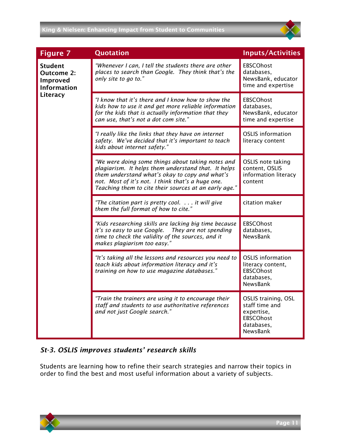<span id="page-11-1"></span>

#### <span id="page-11-0"></span>*St-3. OSLIS improves students' research skills*

Students are learning how to refine their search strategies and narrow their topics in order to find the best and most useful information about a variety of subjects.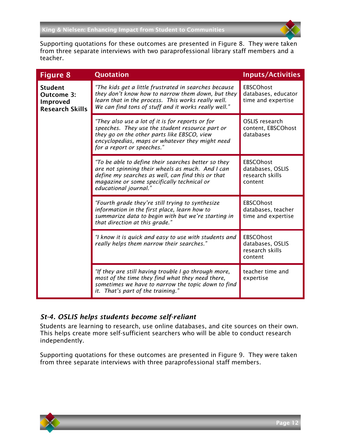

Supporting quotations for these outcomes are presented in Figure 8. They were taken from three separate interviews with two paraprofessional library staff members and a teacher.

| <b>Figure 8</b>                                                           | Quotation                                                                                                                                                                                                                           | <b>Inputs/Activities</b>                                           |
|---------------------------------------------------------------------------|-------------------------------------------------------------------------------------------------------------------------------------------------------------------------------------------------------------------------------------|--------------------------------------------------------------------|
| <b>Student</b><br>Outcome 3:<br><b>Improved</b><br><b>Research Skills</b> | "The kids get a little frustrated in searches because<br>they don't know how to narrow them down, but they<br>learn that in the process. This works really well.<br>We can find tons of stuff and it works really well."            | <b>EBSCOhost</b><br>databases, educator<br>time and expertise      |
|                                                                           | "They also use a lot of it is for reports or for<br>speeches. They use the student resource part or<br>they go on the other parts like EBSCO, view<br>encyclopedias, maps or whatever they might need<br>for a report or speeches." | <b>OSLIS</b> research<br>content, EBSCOhost<br>databases           |
|                                                                           | "To be able to define their searches better so they<br>are not spinning their wheels as much. And I can<br>define my searches as well, can find this or that<br>magazine or some specifically technical or<br>educational journal." | <b>EBSCOhost</b><br>databases, OSLIS<br>research skills<br>content |
|                                                                           | "Fourth grade they're still trying to synthesize<br>information in the first place, learn how to<br>summarize data to begin with but we're starting in<br>that direction at this grade."                                            | <b>EBSCOhost</b><br>databases, teacher<br>time and expertise       |
|                                                                           | "I know it is quick and easy to use with students and<br>really helps them narrow their searches."                                                                                                                                  | <b>EBSCOhost</b><br>databases, OSLIS<br>research skills<br>content |
|                                                                           | "If they are still having trouble I go through more,<br>most of the time they find what they need there,<br>sometimes we have to narrow the topic down to find<br>it. That's part of the training."                                 | teacher time and<br>expertise                                      |

#### <span id="page-12-0"></span>*St-4. OSLIS helps students become self-reliant*

Students are learning to research, use online databases, and cite sources on their own. This helps create more self-sufficient searchers who will be able to conduct research independently.

Supporting quotations for these outcomes are presented in [Figure 9.](#page-13-2) They were taken from three separate interviews with three paraprofessional staff members.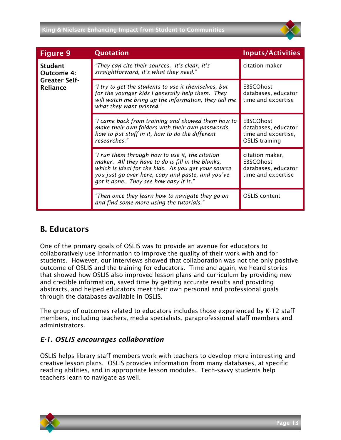#### King & Nielsen: Enhancing Impact from Student to Communities



<span id="page-13-2"></span>

| <b>Figure 9</b>                         | <b>Quotation</b>                                                                                                                                                                                                                                           | <b>Inputs/Activities</b>                                                                |
|-----------------------------------------|------------------------------------------------------------------------------------------------------------------------------------------------------------------------------------------------------------------------------------------------------------|-----------------------------------------------------------------------------------------|
| <b>Student</b><br><b>Outcome 4:</b>     | "They can cite their sources. It's clear, it's<br>straightforward, it's what they need."                                                                                                                                                                   | citation maker                                                                          |
| <b>Greater Self-</b><br><b>Reliance</b> | "I try to get the students to use it themselves, but<br>for the younger kids I generally help them. They<br>will watch me bring up the information; they tell me<br>what they want printed."                                                               | <b>EBSCOhost</b><br>databases, educator<br>time and expertise                           |
|                                         | "I came back from training and showed them how to<br>make their own folders with their own passwords,<br>how to put stuff in it, how to do the different<br>researches."                                                                                   | <b>EBSCOhost</b><br>databases, educator<br>time and expertise,<br><b>OSLIS</b> training |
|                                         | "I run them through how to use it, the citation<br>maker. All they have to do is fill in the blanks,<br>which is ideal for the kids. As you get your source<br>you just go over here, copy and paste, and you've<br>got it done. They see how easy it is." | citation maker,<br><b>EBSCOhost</b><br>databases, educator<br>time and expertise        |
|                                         | "Then once they learn how to navigate they go on<br>and find some more using the tutorials."                                                                                                                                                               | <b>OSLIS</b> content                                                                    |

#### <span id="page-13-0"></span>B. Educators

One of the primary goals of OSLIS was to provide an avenue for educators to collaboratively use information to improve the quality of their work with and for students. However, our interviews showed that collaboration was not the only positive outcome of OSLIS and the training for educators. Time and again, we heard stories that showed how OSLIS also improved lesson plans and curriculum by providing new and credible information, saved time by getting accurate results and providing abstracts, and helped educators meet their own personal and professional goals through the databases available in OSLIS.

The group of outcomes related to educators includes those experienced by K-12 staff members, including teachers, media specialists, paraprofessional staff members and administrators.

#### <span id="page-13-1"></span>*E-1. OSLIS encourages collaboration*

OSLIS helps library staff members work with teachers to develop more interesting and creative lesson plans. OSLIS provides information from many databases, at specific reading abilities, and in appropriate lesson modules. Tech-savvy students help teachers learn to navigate as well.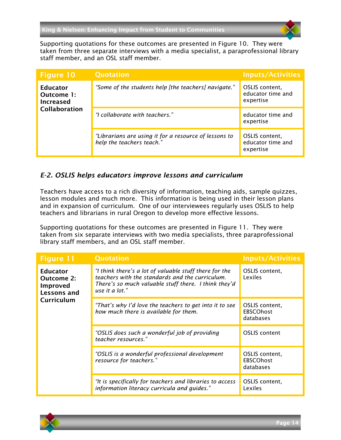Supporting quotations for these outcomes are presented in [Figure 10.](#page-14-1) They were taken from three separate interviews with a media specialist, a paraprofessional library staff member, and an OSL staff member.

<span id="page-14-1"></span>

| <b>Figure 10</b>                                                          | <b>Quotation</b>                                                                   | <b>Inputs/Activities</b>                         |
|---------------------------------------------------------------------------|------------------------------------------------------------------------------------|--------------------------------------------------|
| <b>Educator</b><br>Outcome 1:<br><b>Increased</b><br><b>Collaboration</b> | "Some of the students help [the teachers] navigate."                               | OSLIS content,<br>educator time and<br>expertise |
|                                                                           | "I collaborate with teachers."                                                     | educator time and<br>expertise                   |
|                                                                           | "Librarians are using it for a resource of lessons to<br>help the teachers teach." | OSLIS content,<br>educator time and<br>expertise |

#### <span id="page-14-0"></span>*E-2. OSLIS helps educators improve lessons and curriculum*

Teachers have access to a rich diversity of information, teaching aids, sample quizzes, lesson modules and much more. This information is being used in their lesson plans and in expansion of curriculum. One of our interviewees regularly uses OSLIS to help teachers and librarians in rural Oregon to develop more effective lessons.

Supporting quotations for these outcomes are presented in [Figure 11.](#page-14-2) They were taken from six separate interviews with two media specialists, three paraprofessional library staff members, and an OSL staff member.

<span id="page-14-2"></span>

| <b>Figure 11</b>                                                              | <b>Quotation</b>                                                                                                                                                                    | <b>Inputs/Activities</b>                        |
|-------------------------------------------------------------------------------|-------------------------------------------------------------------------------------------------------------------------------------------------------------------------------------|-------------------------------------------------|
| <b>Educator</b><br><b>Outcome 2:</b><br>Improved<br>Lessons and<br>Curriculum | "I think there's a lot of valuable stuff there for the<br>teachers with the standards and the curriculum.<br>There's so much valuable stuff there. I think they'd<br>use it a lot." | OSLIS content,<br>Lexiles                       |
|                                                                               | "That's why I'd love the teachers to get into it to see<br>how much there is available for them.                                                                                    | OSLIS content,<br><b>EBSCOhost</b><br>databases |
|                                                                               | "OSLIS does such a wonderful job of providing<br>teacher resources."                                                                                                                | <b>OSLIS</b> content                            |
|                                                                               | "OSLIS is a wonderful professional development<br>resource for teachers."                                                                                                           | OSLIS content,<br><b>EBSCOhost</b><br>databases |
|                                                                               | "It is specifically for teachers and libraries to access<br>information literacy curricula and guides."                                                                             | OSLIS content,<br>Lexiles                       |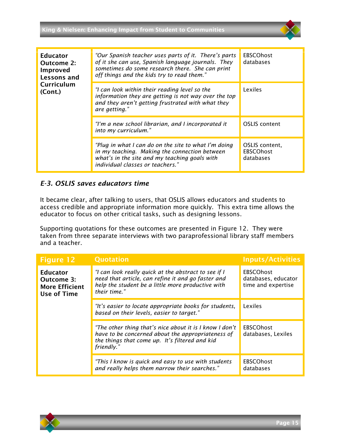King & Nielsen: Enhancing Impact from Student to Communities

| <b>Educator</b><br>Outcome 2:<br>Improved<br>Lessons and | "Our Spanish teacher uses parts of it. There's parts<br>of it she can use, Spanish language journals. They<br>sometimes do some research there. She can print<br>off things and the kids try to read them." | <b>EBSCOhost</b><br>databases                   |
|----------------------------------------------------------|-------------------------------------------------------------------------------------------------------------------------------------------------------------------------------------------------------------|-------------------------------------------------|
| Curriculum<br>(Cont.)                                    | "I can look within their reading level so the<br>information they are getting is not way over the top<br>and they aren't getting frustrated with what they<br>are getting."                                 | Lexiles                                         |
|                                                          | "I'm a new school librarian, and I incorporated it<br>into my curriculum."                                                                                                                                  | <b>OSLIS</b> content                            |
|                                                          | "Plug in what I can do on the site to what I'm doing<br>in my teaching. Making the connection between<br>what's in the site and my teaching goals with<br>individual classes or teachers."                  | OSLIS content,<br><b>EBSCOhost</b><br>databases |

#### <span id="page-15-0"></span>*E-3. OSLIS saves educators time*

It became clear, after talking to users, that OSLIS allows educators and students to access credible and appropriate information more quickly. This extra time allows the educator to focus on other critical tasks, such as designing lessons.

Supporting quotations for these outcomes are presented in [Figure 12.](#page-15-1) They were taken from three separate interviews with two paraprofessional library staff members and a teacher.

<span id="page-15-1"></span>

| <b>Figure 12</b>                                                                    | <b>Quotation</b>                                                                                                                                                                | <b>Inputs/Activities</b>                                      |
|-------------------------------------------------------------------------------------|---------------------------------------------------------------------------------------------------------------------------------------------------------------------------------|---------------------------------------------------------------|
| <b>Educator</b><br><b>Outcome 3:</b><br><b>More Efficient</b><br><b>Use of Time</b> | "I can look really quick at the abstract to see if I<br>need that article, can refine it and go faster and<br>help the student be a little more productive with<br>their time." | <b>EBSCOhost</b><br>databases, educator<br>time and expertise |
|                                                                                     | "It's easier to locate appropriate books for students,<br>based on their levels, easier to target."                                                                             | Lexiles                                                       |
|                                                                                     | "The other thing that's nice about it is I know I don't<br>have to be concerned about the appropriateness of<br>the things that come up. It's filtered and kid<br>friendly."    | <b>EBSCOhost</b><br>databases, Lexiles                        |
|                                                                                     | "This I know is quick and easy to use with students<br>and really helps them narrow their searches."                                                                            | <b>EBSCOhost</b><br>databases                                 |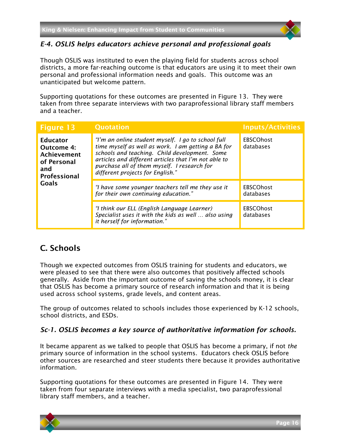

#### <span id="page-16-0"></span>*E-4. OSLIS helps educators achieve personal and professional goals*

Though OSLIS was instituted to even the playing field for students across school districts, a more far-reaching outcome is that educators are using it to meet their own personal and professional information needs and goals. This outcome was an unanticipated but welcome pattern.

Supporting quotations for these outcomes are presented in [Figure 13.](#page-16-3) They were taken from three separate interviews with two paraprofessional library staff members and a teacher.

<span id="page-16-3"></span>

| <b>Figure 13</b>                                                                                        | <b>Quotation</b>                                                                                                                                                                                                                                                                                     | <b>Inputs/Activities</b>      |
|---------------------------------------------------------------------------------------------------------|------------------------------------------------------------------------------------------------------------------------------------------------------------------------------------------------------------------------------------------------------------------------------------------------------|-------------------------------|
| <b>Educator</b><br><b>Outcome 4:</b><br><b>Achievement</b><br>of Personal<br>and<br><b>Professional</b> | "I'm an online student myself. I go to school full<br>time myself as well as work. I am getting a BA for<br>schools and teaching. Child development. Some<br>articles and different articles that I'm not able to<br>purchase all of them myself. I research for<br>different projects for English." | <b>EBSCOhost</b><br>databases |
| <b>Goals</b>                                                                                            | "I have some younger teachers tell me they use it<br>for their own continuing education."                                                                                                                                                                                                            | <b>EBSCOhost</b><br>databases |
|                                                                                                         | "I think our ELL (English Language Learner)<br>Specialist uses it with the kids as well  also using<br>it herself for information."                                                                                                                                                                  | <b>EBSCOhost</b><br>databases |

### <span id="page-16-1"></span>C. Schools

Though we expected outcomes from OSLIS training for students and educators, we were pleased to see that there were also outcomes that positively affected schools generally. Aside from the important outcome of saving the schools money, it is clear that OSLIS has become a primary source of research information and that it is being used across school systems, grade levels, and content areas.

The group of outcomes related to schools includes those experienced by K-12 schools, school districts, and ESDs.

#### <span id="page-16-2"></span>*Sc-1. OSLIS becomes a key source of authoritative information for schools.*

It became apparent as we talked to people that OSLIS has become a primary, if not *the* primary source of information in the school systems. Educators check OSLIS before other sources are researched and steer students there because it provides authoritative information.

Supporting quotations for these outcomes are presented in [Figure 14.](#page-17-0) They were taken from four separate interviews with a media specialist, two paraprofessional library staff members, and a teacher.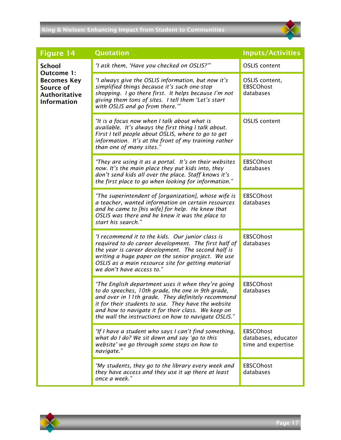#### King & Nielsen: Enhancing Impact from Student to Communities



<span id="page-17-0"></span>

| <b>Figure 14</b>                                                              | <b>Quotation</b>                                                                                                                                                                                                                                                                                                                  | <b>Inputs/Activities</b>                                      |
|-------------------------------------------------------------------------------|-----------------------------------------------------------------------------------------------------------------------------------------------------------------------------------------------------------------------------------------------------------------------------------------------------------------------------------|---------------------------------------------------------------|
| <b>School</b><br>Outcome 1:                                                   | "I ask them, 'Have you checked on OSLIS?'"                                                                                                                                                                                                                                                                                        | <b>OSLIS</b> content                                          |
| <b>Becomes Key</b><br>Source of<br><b>Authoritative</b><br><b>Information</b> | "I always give the OSLIS information, but now it's<br>simplified things because it's such one-stop<br>shopping. I go there first. It helps because I'm not<br>giving them tons of sites. I tell them 'Let's start<br>with OSLIS and go from there.""                                                                              | OSLIS content,<br><b>EBSCOhost</b><br>databases               |
|                                                                               | "It is a focus now when I talk about what is<br>available. It's always the first thing I talk about.<br>First I tell people about OSLIS, where to go to get<br>information. It's at the front of my training rather<br>than one of many sites."                                                                                   | <b>OSLIS</b> content                                          |
|                                                                               | "They are using it as a portal. It's on their websites<br>now. It's the main place they put kids into, they<br>don't send kids all over the place. Staff knows it's<br>the first place to go when looking for information."                                                                                                       | <b>EBSCOhost</b><br>databases                                 |
|                                                                               | "The superintendent of [organization], whose wife is<br>a teacher, wanted information on certain resources<br>and he came to [his wife] for help. He knew that<br>OSLIS was there and he knew it was the place to<br>start his search."                                                                                           | <b>EBSCOhost</b><br>databases                                 |
|                                                                               | "I recommend it to the kids. Our junior class is<br>required to do career development. The first half of<br>the year is career development. The second half is<br>writing a huge paper on the senior project. We use<br>OSLIS as a main resource site for getting material<br>we don't have access to."                           | <b>EBSCOhost</b><br>databases                                 |
|                                                                               | "The English department uses it when they're going<br>to do speeches, 10th grade, the one in 9th grade,<br>and over in 11th grade. They definitely recommend<br>it for their students to use. They have the website<br>and how to navigate it for their class. We keep on<br>the wall the instructions on how to navigate OSLIS." | <b>EBSCOhost</b><br>databases                                 |
|                                                                               | "If I have a student who says I can't find something,<br>what do I do? We sit down and say 'go to this<br>website' we go through some steps on how to<br>navigate."                                                                                                                                                               | <b>EBSCOhost</b><br>databases, educator<br>time and expertise |
|                                                                               | "My students, they go to the library every week and<br>they have access and they use it up there at least<br>once a week."                                                                                                                                                                                                        | <b>EBSCOhost</b><br>databases                                 |

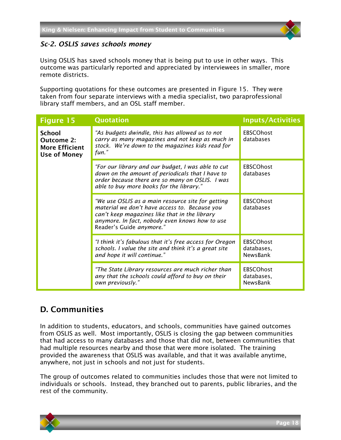

#### <span id="page-18-0"></span>*Sc-2. OSLIS saves schools money*

Using OSLIS has saved schools money that is being put to use in other ways. This outcome was particularly reported and appreciated by interviewees in smaller, more remote districts.

Supporting quotations for these outcomes are presented in [Figure 15.](#page-18-2) They were taken from four separate interviews with a media specialist, two paraprofessional library staff members, and an OSL staff member.

<span id="page-18-2"></span>

| <b>Figure 15</b>                                                                   | <b>Quotation</b>                                                                                                                                                                                                                  | <b>Inputs/Activities</b>                          |
|------------------------------------------------------------------------------------|-----------------------------------------------------------------------------------------------------------------------------------------------------------------------------------------------------------------------------------|---------------------------------------------------|
| <b>School</b><br><b>Outcome 2:</b><br><b>More Efficient</b><br><b>Use of Money</b> | "As budgets dwindle, this has allowed us to not<br>carry as many magazines and not keep as much in<br>stock. We're down to the magazines kids read for<br>fun."                                                                   | <b>EBSCOhost</b><br>databases                     |
|                                                                                    | "For our library and our budget, I was able to cut<br>down on the amount of periodicals that I have to<br>order because there are so many on OSLIS. I was<br>able to buy more books for the library."                             | <b>EBSCOhost</b><br>databases                     |
|                                                                                    | "We use OSLIS as a main resource site for getting<br>material we don't have access to. Because you<br>can't keep magazines like that in the library<br>anymore. In fact, nobody even knows how to use<br>Reader's Guide anymore." | <b>EBSCOhost</b><br>databases                     |
|                                                                                    | "I think it's fabulous that it's free access for Oregon<br>schools. I value the site and think it's a great site<br>and hope it will continue."                                                                                   | <b>EBSCOhost</b><br>databases,<br><b>NewsBank</b> |
|                                                                                    | "The State Library resources are much richer than<br>any that the schools could afford to buy on their<br>own previously."                                                                                                        | <b>EBSCOhost</b><br>databases,<br>NewsBank        |

#### <span id="page-18-1"></span>D. Communities

In addition to students, educators, and schools, communities have gained outcomes from OSLIS as well. Most importantly, OSLIS is closing the gap between communities that had access to many databases and those that did not, between communities that had multiple resources nearby and those that were more isolated. The training provided the awareness that OSLIS was available, and that it was available anytime, anywhere, not just in schools and not just for students.

The group of outcomes related to communities includes those that were not limited to individuals or schools. Instead, they branched out to parents, public libraries, and the rest of the community.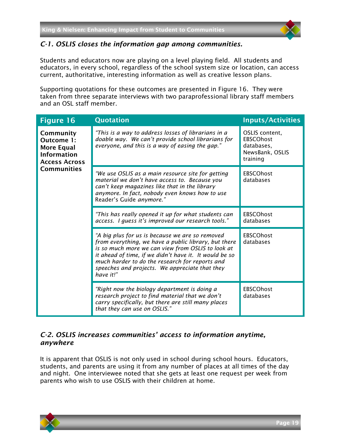

#### <span id="page-19-0"></span>*C-1. OSLIS closes the information gap among communities.*

Students and educators now are playing on a level playing field. All students and educators, in every school, regardless of the school system size or location, can access current, authoritative, interesting information as well as creative lesson plans.

Supporting quotations for these outcomes are presented in [Figure 16.](#page-19-2) They were taken from three separate interviews with two paraprofessional library staff members and an OSL staff member.

<span id="page-19-2"></span>

| <b>Figure 16</b>                                                                                          | Quotation                                                                                                                                                                                                                                                                                                                               | <b>Inputs/Activities</b>                                                        |
|-----------------------------------------------------------------------------------------------------------|-----------------------------------------------------------------------------------------------------------------------------------------------------------------------------------------------------------------------------------------------------------------------------------------------------------------------------------------|---------------------------------------------------------------------------------|
| Community<br>Outcome 1:<br>More Equal<br><b>Information</b><br><b>Access Across</b><br><b>Communities</b> | "This is a way to address losses of librarians in a<br>doable way. We can't provide school librarians for<br>everyone, and this is a way of easing the gap."                                                                                                                                                                            | OSLIS content,<br><b>EBSCOhost</b><br>databases,<br>NewsBank, OSLIS<br>training |
|                                                                                                           | "We use OSLIS as a main resource site for getting<br>material we don't have access to. Because you<br>can't keep magazines like that in the library<br>anymore. In fact, nobody even knows how to use<br>Reader's Guide anymore."                                                                                                       | <b>EBSCOhost</b><br>databases                                                   |
|                                                                                                           | "This has really opened it up for what students can<br>access. I guess it's improved our research tools."                                                                                                                                                                                                                               | <b>EBSCOhost</b><br>databases                                                   |
|                                                                                                           | "A big plus for us is because we are so removed<br>from everything, we have a public library, but there<br>is so much more we can view from OSLIS to look at<br>it ahead of time, if we didn't have it. It would be so<br>much harder to do the research for reports and<br>speeches and projects. We appreciate that they<br>have it!" | <b>EBSCOhost</b><br>databases                                                   |
|                                                                                                           | "Right now the biology department is doing a<br>research project to find material that we don't<br>carry specifically, but there are still many places<br>that they can use on OSLIS."                                                                                                                                                  | <b>EBSCOhost</b><br>databases                                                   |

#### <span id="page-19-1"></span>*C-2. OSLIS increases communities' access to information anytime, anywhere*

It is apparent that OSLIS is not only used in school during school hours. Educators, students, and parents are using it from any number of places at all times of the day and night. One interviewee noted that she gets at least one request per week from parents who wish to use OSLIS with their children at home.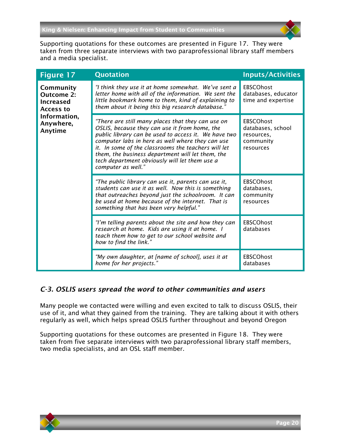

Supporting quotations for these outcomes are presented in [Figure 17.](#page-20-1) They were taken from three separate interviews with two paraprofessional library staff members and a media specialist.

<span id="page-20-1"></span>

| <b>Figure 17</b>                                                | <b>Quotation</b>                                                                                                                                                                                                                                                                                                                                                                                 | <b>Inputs/Activities</b>                                                      |
|-----------------------------------------------------------------|--------------------------------------------------------------------------------------------------------------------------------------------------------------------------------------------------------------------------------------------------------------------------------------------------------------------------------------------------------------------------------------------------|-------------------------------------------------------------------------------|
| Community<br><b>Outcome 2:</b><br><b>Increased</b><br>Access to | "I think they use it at home somewhat. We've sent a<br>letter home with all of the information. We sent the<br>little bookmark home to them, kind of explaining to<br>them about it being this big research database."                                                                                                                                                                           | <b>EBSCOhost</b><br>databases, educator<br>time and expertise                 |
| Information,<br>Anywhere,<br>Anytime                            | "There are still many places that they can use on<br>OSLIS, because they can use it from home, the<br>public library can be used to access it. We have two<br>computer labs in here as well where they can use<br>it. In some of the classrooms the teachers will let<br>them, the business department will let them, the<br>tech department obviously will let them use a<br>computer as well." | <b>EBSCOhost</b><br>databases, school<br>resources,<br>community<br>resources |
|                                                                 | "The public library can use it, parents can use it,<br>students can use it as well. Now this is something<br>that outreaches beyond just the schoolroom. It can<br>be used at home because of the internet. That is<br>something that has been very helpful."                                                                                                                                    | <b>EBSCOhost</b><br>databases,<br>community<br>resources                      |
|                                                                 | "I'm telling parents about the site and how they can<br>research at home. Kids are using it at home. I<br>teach them how to get to our school website and<br>how to find the link."                                                                                                                                                                                                              | <b>EBSCOhost</b><br>databases                                                 |
|                                                                 | "My own daughter, at [name of school], uses it at<br>home for her projects."                                                                                                                                                                                                                                                                                                                     | <b>EBSCOhost</b><br>databases                                                 |

#### <span id="page-20-0"></span>*C-3. OSLIS users spread the word to other communities and users*

Many people we contacted were willing and even excited to talk to discuss OSLIS, their use of it, and what they gained from the training. They are talking about it with others regularly as well, which helps spread OSLIS further throughout and beyond Oregon

Supporting quotations for these outcomes are presented in [Figure 18.](#page-21-2) They were taken from five separate interviews with two paraprofessional library staff members, two media specialists, and an OSL staff member.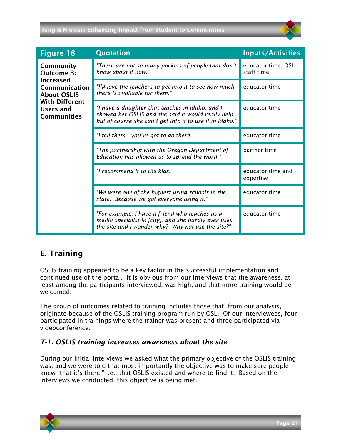#### King & Nielsen: Enhancing Impact from Student to Communities

<span id="page-21-2"></span>

| <b>Figure 18</b>                                                                                                                               | <b>Quotation</b>                                                                                                                                                   | <b>Inputs/Activities</b>         |
|------------------------------------------------------------------------------------------------------------------------------------------------|--------------------------------------------------------------------------------------------------------------------------------------------------------------------|----------------------------------|
| Community<br>Outcome 3:<br><b>Increased</b><br>Communication<br><b>About OSLIS</b><br><b>With Different</b><br>Users and<br><b>Communities</b> | "There are not so many pockets of people that don't<br>know about it now."                                                                                         | educator time, OSL<br>staff time |
|                                                                                                                                                | "I'd love the teachers to get into it to see how much<br>there is available for them."                                                                             | educator time                    |
|                                                                                                                                                | "I have a daughter that teaches in Idaho, and I<br>showed her OSLIS and she said it would really help,<br>but of course she can't get into it to use it in Idaho." | educator time                    |
|                                                                                                                                                | "I tell themyou've got to go there."                                                                                                                               | educator time                    |
|                                                                                                                                                | "The partnership with the Oregon Department of<br>Education has allowed us to spread the word."                                                                    | partner time                     |
|                                                                                                                                                | "I recommend it to the kids."                                                                                                                                      | educator time and<br>expertise   |
|                                                                                                                                                | "We were one of the highest using schools in the<br>state. Because we got everyone using it."                                                                      | educator time                    |
|                                                                                                                                                | "For example, I have a friend who teaches as a<br>media specialist in [city], and she hardly ever uses<br>the site and I wonder why? Why not use the site?"        | educator time                    |

#### <span id="page-21-0"></span>E. Training

OSLIS training appeared to be a key factor in the successful implementation and continued use of the portal. It is obvious from our interviews that the awareness, at least among the participants interviewed, was high, and that more training would be welcomed.

The group of outcomes related to training includes those that, from our analysis, originate because of the OSLIS training program run by OSL. Of our interviewees, four participated in trainings where the trainer was present and three participated via videoconference.

#### <span id="page-21-1"></span>*T-1. OSLIS training increases awareness about the site*

During our initial interviews we asked what the primary objective of the OSLIS training was, and we were told that most importantly the objective was to make sure people knew "that it's there," i.e., that OSLIS existed and where to find it. Based on the interviews we conducted, this objective is being met.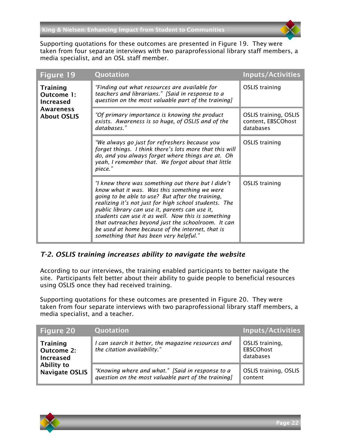Supporting quotations for these outcomes are presented in [Figure 19.](#page-22-1) They were taken from four separate interviews with two paraprofessional library staff members, a media specialist, and an OSL staff member.

<span id="page-22-1"></span>

| <b>Figure 19</b>                                                                     | Quotation                                                                                                                                                                                                                                                                                                                                                                                                                                                                   | <b>Inputs/Activities</b>                                        |
|--------------------------------------------------------------------------------------|-----------------------------------------------------------------------------------------------------------------------------------------------------------------------------------------------------------------------------------------------------------------------------------------------------------------------------------------------------------------------------------------------------------------------------------------------------------------------------|-----------------------------------------------------------------|
| <b>Training</b><br>Outcome 1:<br><b>Increased</b><br>Awareness<br><b>About OSLIS</b> | "Finding out what resources are available for<br>teachers and librarians." [Said in response to a<br>question on the most valuable part of the training]                                                                                                                                                                                                                                                                                                                    | <b>OSLIS</b> training                                           |
|                                                                                      | "Of primary importance is knowing the product<br>exists. Awareness is so huge, of OSLIS and of the<br>databases."                                                                                                                                                                                                                                                                                                                                                           | <b>OSLIS training, OSLIS</b><br>content, EBSCOhost<br>databases |
|                                                                                      | "We always go just for refreshers because you<br>forget things. I think there's lots more that this will<br>do, and you always forget where things are at. Oh<br>yeah, I remember that. We forgot about that little<br>piece."                                                                                                                                                                                                                                              | <b>OSLIS</b> training                                           |
|                                                                                      | "I knew there was something out there but I didn't<br>know what it was. Was this something we were<br>going to be able to use? But after the training,<br>realizing it's not just for high school students. The<br>public library can use it, parents can use it,<br>students can use it as well. Now this is something<br>that outreaches beyond just the schoolroom. It can<br>be used at home because of the internet, that is<br>something that has been very helpful." | <b>OSLIS</b> training                                           |

#### <span id="page-22-0"></span>*T-2. OSLIS training increases ability to navigate the website*

According to our interviews, the training enabled participants to better navigate the site. Participants felt better about their ability to guide people to beneficial resources using OSLIS once they had received training.

Supporting quotations for these outcomes are presented in [Figure 20.](#page-22-2) They were taken from four separate interviews with two paraprofessional library staff members, a media specialist, and a teacher.

<span id="page-22-2"></span>

| <b>Figure 20</b>                                                                                | Quotation                                                                                               | <b>Inputs/Activities</b>                         |
|-------------------------------------------------------------------------------------------------|---------------------------------------------------------------------------------------------------------|--------------------------------------------------|
| <b>Training</b><br><b>Outcome 2:</b><br><b>Increased</b><br>Ability to<br><b>Navigate OSLIS</b> | I can search it better, the magazine resources and<br>the citation availability."                       | OSLIS training,<br><b>EBSCOhost</b><br>databases |
|                                                                                                 | "Knowing where and what." [Said in response to a<br>question on the most valuable part of the training] | OSLIS training, OSLIS<br>content                 |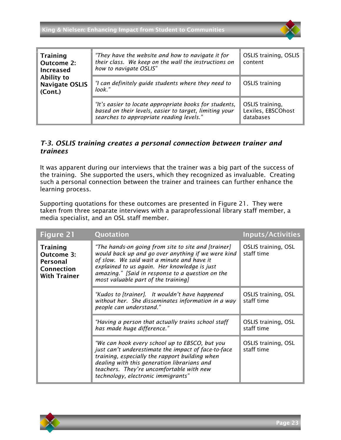

| <b>Training</b><br><b>Outcome 2:</b><br><b>Increased</b> | "They have the website and how to navigate it for<br>their class. We keep on the wall the instructions on<br>how to navigate OSLIS"                          | <b>OSLIS training, OSLIS</b><br>content            |
|----------------------------------------------------------|--------------------------------------------------------------------------------------------------------------------------------------------------------------|----------------------------------------------------|
| Ability to<br><b>Navigate OSLIS</b><br>(Cont.)           | "I can definitely guide students where they need to<br>look."                                                                                                | <b>OSLIS</b> training                              |
|                                                          | "It's easier to locate appropriate books for students,<br>based on their levels, easier to target, limiting your<br>searches to appropriate reading levels." | OSLIS training,<br>Lexiles, EBSCOhost<br>databases |

#### <span id="page-23-0"></span>*T-3. OSLIS training creates a personal connection between trainer and trainees*

It was apparent during our interviews that the trainer was a big part of the success of the training. She supported the users, which they recognized as invaluable. Creating such a personal connection between the trainer and trainees can further enhance the learning process.

Supporting quotations for these outcomes are presented in [Figure 21.](#page-23-1) They were taken from three separate interviews with a paraprofessional library staff member, a media specialist, and an OSL staff member.

<span id="page-23-1"></span>

| <b>Figure 21</b>                                                                             | Quotation                                                                                                                                                                                                                                                                                          | <b>Inputs/Activities</b>                 |
|----------------------------------------------------------------------------------------------|----------------------------------------------------------------------------------------------------------------------------------------------------------------------------------------------------------------------------------------------------------------------------------------------------|------------------------------------------|
| <b>Training</b><br><b>Outcome 3:</b><br><b>Personal</b><br>Connection<br><b>With Trainer</b> | "The hands-on going from site to site and [trainer]<br>would back up and go over anything if we were kind<br>of slow. We said wait a minute and have it<br>explained to us again. Her knowledge is just<br>amazing." [Said in response to a question on the<br>most valuable part of the training] | <b>OSLIS training, OSL</b><br>staff time |
|                                                                                              | "Kudos to [trainer]. It wouldn't have happened<br>without her. She disseminates information in a way<br>people can understand."                                                                                                                                                                    | OSLIS training, OSL<br>staff time        |
|                                                                                              | "Having a person that actually trains school staff<br>has made huge difference."                                                                                                                                                                                                                   | <b>OSLIS training, OSL</b><br>staff time |
|                                                                                              | "We can hook every school up to EBSCO, but you<br>just can't underestimate the impact of face-to-face<br>training, especially the rapport building when<br>dealing with this generation librarians and<br>teachers. They're uncomfortable with new<br>technology, electronic immigrants"           | OSLIS training, OSL<br>staff time        |

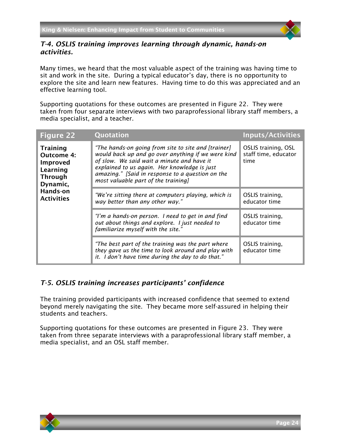

#### <span id="page-24-0"></span>*T-4. OSLIS training improves learning through dynamic, hands-on activities.*

Many times, we heard that the most valuable aspect of the training was having time to sit and work in the site. During a typical educator's day, there is no opportunity to explore the site and learn new features. Having time to do this was appreciated and an effective learning tool.

Supporting quotations for these outcomes are presented in [Figure 22.](#page-24-2) They were taken from four separate interviews with two paraprofessional library staff members, a media specialist, and a teacher.

<span id="page-24-2"></span>

| <b>Figure 22</b>                                                                    | Quotation                                                                                                                                                                                                                                                                                          | <b>Inputs/Activities</b>                                   |
|-------------------------------------------------------------------------------------|----------------------------------------------------------------------------------------------------------------------------------------------------------------------------------------------------------------------------------------------------------------------------------------------------|------------------------------------------------------------|
| Training<br><b>Outcome 4:</b><br>Improved<br>Learning<br><b>Through</b><br>Dynamic, | "The hands-on going from site to site and [trainer]<br>would back up and go over anything if we were kind<br>of slow. We said wait a minute and have it<br>explained to us again. Her knowledge is just<br>amazing." [Said in response to a question on the<br>most valuable part of the training] | <b>OSLIS training, OSL</b><br>staff time, educator<br>time |
| Hands-on<br><b>Activities</b>                                                       | "We're sitting there at computers playing, which is<br>way better than any other way."                                                                                                                                                                                                             | OSLIS training,<br>educator time                           |
|                                                                                     | "I'm a hands-on person. I need to get in and find<br>out about things and explore. I just needed to<br>familiarize myself with the site."                                                                                                                                                          | OSLIS training,<br>educator time                           |
|                                                                                     | "The best part of the training was the part where<br>they gave us the time to look around and play with<br>it. I don't have time during the day to do that."                                                                                                                                       | OSLIS training,<br>educator time                           |

#### <span id="page-24-1"></span>*T-5. OSLIS training increases participants' confidence*

The training provided participants with increased confidence that seemed to extend beyond merely navigating the site. They became more self-assured in helping their students and teachers.

Supporting quotations for these outcomes are presented in [Figure 23.](#page-25-1) They were taken from three separate interviews with a paraprofessional library staff member, a media specialist, and an OSL staff member.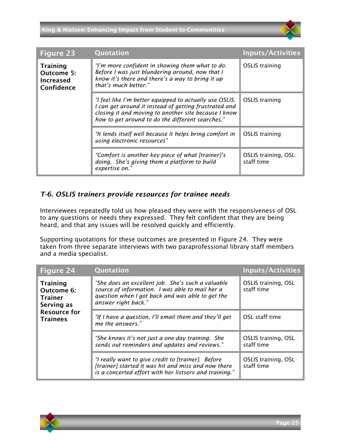<span id="page-25-1"></span>

| <b>Figure 23</b>                                                | Quotation                                                                                                                                                                                                                    | <b>Inputs/Activities</b>          |
|-----------------------------------------------------------------|------------------------------------------------------------------------------------------------------------------------------------------------------------------------------------------------------------------------------|-----------------------------------|
| <b>Training</b><br>Outcome 5:<br><b>Increased</b><br>Confidence | "I'm more confident in showing them what to do.<br>Before I was just blundering around, now that I<br>know it's there and there's a way to bring it up<br>that's much better."                                               | <b>OSLIS</b> training             |
|                                                                 | "I feel like I'm better equipped to actually use OSLIS.<br>I can get around it instead of getting frustrated and<br>closing it and moving to another site because I know<br>how to get around to do the different searches." | OSLIS training                    |
|                                                                 | "It lends itself well because it helps bring comfort in<br>using electronic resources"                                                                                                                                       | <b>OSLIS</b> training             |
|                                                                 | "Comfort is another key piece of what [trainer]'s<br>doing. She's giving them a platform to build<br>expertise on."                                                                                                          | OSLIS training, OSL<br>staff time |

#### <span id="page-25-0"></span>*T-6. OSLIS trainers provide resources for trainee needs*

Interviewees repeatedly told us how pleased they were with the responsiveness of OSL to any questions or needs they expressed. They felt confident that they are being heard, and that any issues will be resolved quickly and efficiently.

Supporting quotations for these outcomes are presented in [Figure 24.](#page-25-2) They were taken from three separate interviews with two paraprofessional library staff members and a media specialist.

<span id="page-25-2"></span>

| <b>Figure 24</b>                                              | Quotation                                                                                                                                                                       | <b>Inputs/Activities</b>                 |
|---------------------------------------------------------------|---------------------------------------------------------------------------------------------------------------------------------------------------------------------------------|------------------------------------------|
| <b>Training</b><br>Outcome 6:<br><b>Trainer</b><br>Serving as | "She does an excellent job. She's such a valuable<br>source of information. I was able to mail her a<br>question when I got back and was able to get the<br>answer right back." | <b>OSLIS training, OSL</b><br>staff time |
| <b>Resource for</b><br><b>Trainees</b>                        | "If I have a question, I'll email them and they'll get<br>me the answers."                                                                                                      | OSL staff time                           |
|                                                               | "She knows it's not just a one-day training. She<br>sends out reminders and updates and reviews."                                                                               | <b>OSLIS training, OSL</b><br>staff time |
|                                                               | "I really want to give credit to [trainer]. Before<br>[trainer] started it was hit and miss and now there<br>is a concerted effort with her listserv and training."             | OSLIS training, OSL<br>staff time        |

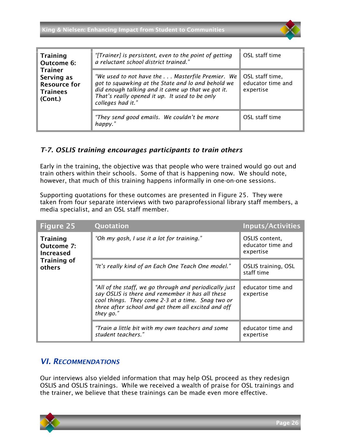| <b>Training</b><br>Outcome 6:<br><b>Trainer</b><br>Serving as<br><b>Resource for</b><br><b>Trainees</b><br>(Cont.) | "[Trainer] is persistent, even to the point of getting<br>a reluctant school district trained."                                                                                                                                    | OSL staff time                                    |
|--------------------------------------------------------------------------------------------------------------------|------------------------------------------------------------------------------------------------------------------------------------------------------------------------------------------------------------------------------------|---------------------------------------------------|
|                                                                                                                    | "We used to not have the  Masterfile Premier. We<br>got to squawking at the State and lo and behold we<br>did enough talking and it came up that we got it.<br>That's really opened it up. It used to be only<br>colleges had it." | OSL staff time,<br>educator time and<br>expertise |
|                                                                                                                    | "They send good emails. We couldn't be more<br>happy."                                                                                                                                                                             | OSL staff time                                    |

#### <span id="page-26-0"></span>*T-7. OSLIS training encourages participants to train others*

Early in the training, the objective was that people who were trained would go out and train others within their schools. Some of that is happening now. We should note, however, that much of this training happens informally in one-on-one sessions.

Supporting quotations for these outcomes are presented in [Figure 25.](#page-26-2) They were taken from four separate interviews with two paraprofessional library staff members, a media specialist, and an OSL staff member.

<span id="page-26-2"></span>

| Figure 25                                                                         | Quotation                                                                                                                                                                                                                           | <b>Inputs/Activities</b>                         |
|-----------------------------------------------------------------------------------|-------------------------------------------------------------------------------------------------------------------------------------------------------------------------------------------------------------------------------------|--------------------------------------------------|
| <b>Training</b><br>Outcome 7:<br><b>Increased</b><br><b>Training of</b><br>others | "Oh my gosh, I use it a lot for training."                                                                                                                                                                                          | OSLIS content,<br>educator time and<br>expertise |
|                                                                                   | "It's really kind of an Each One Teach One model."                                                                                                                                                                                  | OSLIS training, OSL<br>staff time                |
|                                                                                   | "All of the staff, we go through and periodically just<br>say OSLIS is there and remember it has all these<br>cool things. They come 2-3 at a time. Snag two or<br>three after school and get them all excited and off<br>they go." | educator time and<br>expertise                   |
|                                                                                   | "Train a little bit with my own teachers and some<br>student teachers."                                                                                                                                                             | educator time and<br>expertise                   |

#### <span id="page-26-1"></span>*VI. RECOMMENDATIONS*

Our interviews also yielded information that may help OSL proceed as they redesign OSLIS and OSLIS trainings. While we received a wealth of praise for OSL trainings and the trainer, we believe that these trainings can be made even more effective.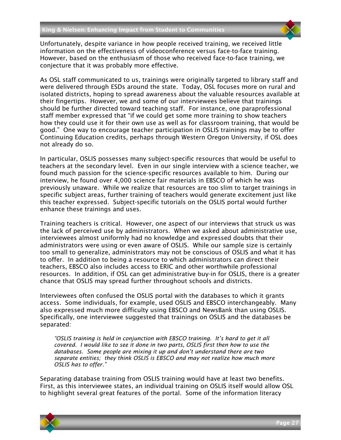Unfortunately, despite variance in how people received training, we received little information on the effectiveness of videoconference versus face-to-face training. However, based on the enthusiasm of those who received face-to-face training, we conjecture that it was probably more effective.

As OSL staff communicated to us, trainings were originally targeted to library staff and were delivered through ESDs around the state. Today, OSL focuses more on rural and isolated districts, hoping to spread awareness about the valuable resources available at their fingertips. However, we and some of our interviewees believe that trainings should be further directed toward teaching staff. For instance, one paraprofessional staff member expressed that "if we could get some more training to show teachers how they could use it for their own use as well as for classroom training, that would be good." One way to encourage teacher participation in OSLIS trainings may be to offer Continuing Education credits, perhaps through Western Oregon University, if OSL does not already do so.

In particular, OSLIS possesses many subject-specific resources that would be useful to teachers at the secondary level. Even in our single interview with a science teacher, we found much passion for the science-specific resources available to him. During our interview, he found over 4,000 science fair materials in EBSCO of which he was previously unaware. While we realize that resources are too slim to target trainings in specific subject areas, further training of teachers would generate excitement just like this teacher expressed. Subject-specific tutorials on the OSLIS portal would further enhance these trainings and uses.

Training teachers is critical. However, one aspect of our interviews that struck us was the lack of perceived use by administrators. When we asked about administrative use, interviewees almost uniformly had no knowledge and expressed doubts that their administrators were using or even aware of OSLIS. While our sample size is certainly too small to generalize, administrators may not be conscious of OSLIS and what it has to offer. In addition to being a resource to which administrators can direct their teachers, EBSCO also includes access to ERIC and other worthwhile professional resources. In addition, if OSL can get administrative buy-in for OSLIS, there is a greater chance that OSLIS may spread further throughout schools and districts.

Interviewees often confused the OSLIS portal with the databases to which it grants access. Some individuals, for example, used OSLIS and EBSCO interchangeably. Many also expressed much more difficulty using EBSCO and NewsBank than using OSLIS. Specifically, one interviewee suggested that trainings on OSLIS and the databases be separated:

*"OSLIS training is held in conjunction with EBSCO training. It's hard to get it all covered. I would like to see it done in two parts, OSLIS first then how to use the databases. Some people are mixing it up and don't understand there are two separate entities; they think OSLIS is EBSCO and may not realize how much more OSLIS has to offer."*

Separating database training from OSLIS training would have at least two benefits. First, as this interviewee states, an individual training on OSLIS itself would allow OSL to highlight several great features of the portal. Some of the information literacy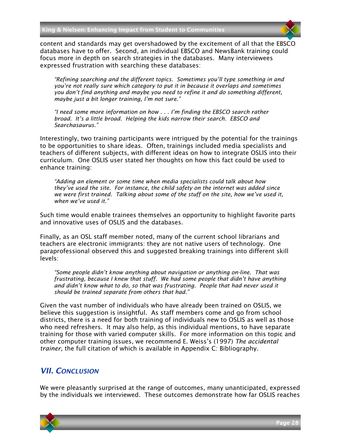content and standards may get overshadowed by the excitement of all that the EBSCO databases have to offer. Second, an individual EBSCO and NewsBank training could focus more in depth on search strategies in the databases. Many interviewees expressed frustration with searching these databases:

*"Refining searching and the different topics. Sometimes you'll type something in and you're not really sure which category to put it in because it overlaps and sometimes you don't find anything and maybe you need to refine it and do something different, maybe just a bit longer training, I'm not sure."*

*"I need some more information on how . . . I'm finding the EBSCO search rather broad. It's a little broad. Helping the kids narrow their search. EBSCO and Searchasaurus."*

Interestingly, two training participants were intrigued by the potential for the trainings to be opportunities to share ideas. Often, trainings included media specialists and teachers of different subjects, with different ideas on how to integrate OSLIS into their curriculum. One OSLIS user stated her thoughts on how this fact could be used to enhance training:

*"Adding an element or some time when media specialists could talk about how they've used the site. For instance, the child safety on the internet was added since we were first trained. Talking about some of the stuff on the site, how we've used it, when we've used it."*

Such time would enable trainees themselves an opportunity to highlight favorite parts and innovative uses of OSLIS and the databases.

Finally, as an OSL staff member noted, many of the current school librarians and teachers are electronic immigrants: they are not native users of technology. One paraprofessional observed this and suggested breaking trainings into different skill levels:

*"Some people didn't know anything about navigation or anything on-line. That was frustrating, because I knew that stuff. We had some people that didn't have anything and didn't know what to do, so that was frustrating. People that had never used it should be trained separate from others that had."*

Given the vast number of individuals who have already been trained on OSLIS, we believe this suggestion is insightful. As staff members come and go from school districts, there is a need for both training of individuals new to OSLIS as well as those who need refreshers. It may also help, as this individual mentions, to have separate training for those with varied computer skills. For more information on this topic and other computer training issues, we recommend E. Weiss's (1997) *The accidental trainer*, the full citation of which is available in Appendix C: Bibliography.

#### <span id="page-28-0"></span>*VII. CONCLUSION*

We were pleasantly surprised at the range of outcomes, many unanticipated, expressed by the individuals we interviewed. These outcomes demonstrate how far OSLIS reaches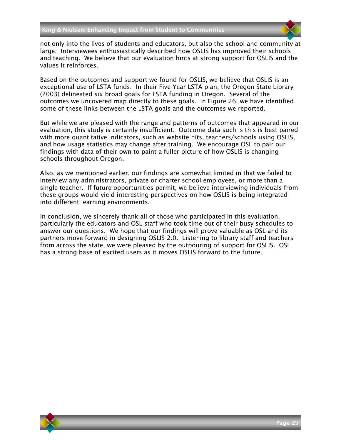

not only into the lives of students and educators, but also the school and community at large. Interviewees enthusiastically described how OSLIS has improved their schools and teaching. We believe that our evaluation hints at strong support for OSLIS and the values it reinforces.

Based on the outcomes and support we found for OSLIS, we believe that OSLIS is an exceptional use of LSTA funds. In their Five-Year LSTA plan, the Oregon State Library (2003) delineated six broad goals for LSTA funding in Oregon. Several of the outcomes we uncovered map directly to these goals. In [Figure 26,](#page-30-0) we have identified some of these links between the LSTA goals and the outcomes we reported.

But while we are pleased with the range and patterns of outcomes that appeared in our evaluation, this study is certainly insufficient. Outcome data such is this is best paired with more quantitative indicators, such as website hits, teachers/schools using OSLIS, and how usage statistics may change after training. We encourage OSL to pair our findings with data of their own to paint a fuller picture of how OSLIS is changing schools throughout Oregon.

Also, as we mentioned earlier, our findings are somewhat limited in that we failed to interview any administrators, private or charter school employees, or more than a single teacher. If future opportunities permit, we believe interviewing individuals from these groups would yield interesting perspectives on how OSLIS is being integrated into different learning environments.

In conclusion, we sincerely thank all of those who participated in this evaluation, particularly the educators and OSL staff who took time out of their busy schedules to answer our questions. We hope that our findings will prove valuable as OSL and its partners move forward in designing OSLIS 2.0. Listening to library staff and teachers from across the state, we were pleased by the outpouring of support for OSLIS. OSL has a strong base of excited users as it moves OSLIS forward to the future.

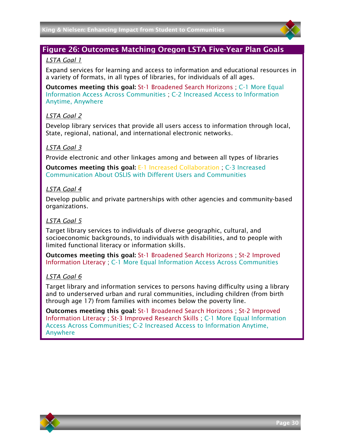

#### <span id="page-30-0"></span>Figure 26: Outcomes Matching Oregon LSTA Five-Year Plan Goals

#### *LSTA Goal 1*

Expand services for learning and access to information and educational resources in a variety of formats, in all types of libraries, for individuals of all ages.

Outcomes meeting this goal: St-1 Broadened Search Horizons ; C-1 More Equal Information Access Across Communities ; C-2 Increased Access to Information Anytime, Anywhere

#### *LSTA Goal 2*

Develop library services that provide all users access to information through local, State, regional, national, and international electronic networks.

#### *LSTA Goal 3*

Provide electronic and other linkages among and between all types of libraries

Outcomes meeting this goal: E-1 Increased Collaboration ; C-3 Increased Communication About OSLIS with Different Users and Communities

#### *LSTA Goal 4*

Develop public and private partnerships with other agencies and community-based organizations.

#### *LSTA Goal 5*

Target library services to individuals of diverse geographic, cultural, and socioeconomic backgrounds, to individuals with disabilities, and to people with limited functional literacy or information skills.

Outcomes meeting this goal: St-1 Broadened Search Horizons ; St-2 Improved Information Literacy ; C-1 More Equal Information Access Across Communities

#### *LSTA Goal 6*

Target library and information services to persons having difficulty using a library and to underserved urban and rural communities, including children (from birth through age 17) from families with incomes below the poverty line.

Outcomes meeting this goal: St-1 Broadened Search Horizons ; St-2 Improved Information Literacy ; St-3 Improved Research Skills ; C-1 More Equal Information Access Across Communities; C-2 Increased Access to Information Anytime, Anywhere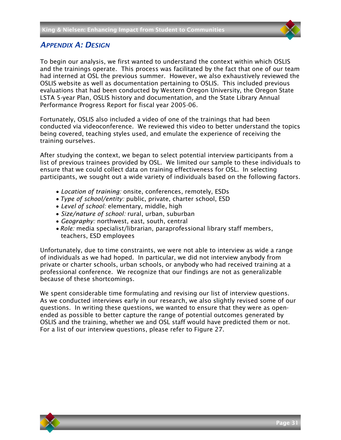#### <span id="page-31-0"></span>*APPENDIX A: DESIGN*

To begin our analysis, we first wanted to understand the context within which OSLIS and the trainings operate. This process was facilitated by the fact that one of our team had interned at OSL the previous summer. However, we also exhaustively reviewed the OSLIS website as well as documentation pertaining to OSLIS. This included previous evaluations that had been conducted by Western Oregon University, the Oregon State LSTA 5-year Plan, OSLIS history and documentation, and the State Library Annual Performance Progress Report for fiscal year 2005-06.

Fortunately, OSLIS also included a video of one of the trainings that had been conducted via videoconference. We reviewed this video to better understand the topics being covered, teaching styles used, and emulate the experience of receiving the training ourselves.

After studying the context, we began to select potential interview participants from a list of previous trainees provided by OSL. We limited our sample to these individuals to ensure that we could collect data on training effectiveness for OSL. In selecting participants, we sought out a wide variety of individuals based on the following factors.

- *Location of training:* onsite, conferences, remotely, ESDs
- *Type of school/entity:* public, private, charter school, ESD
- *Level of school:* elementary, middle, high
- *Size/nature of school:* rural, urban, suburban
- *Geography:* northwest, east, south, central
- *Role:* media specialist/librarian, paraprofessional library staff members, teachers, ESD employees

Unfortunately, due to time constraints, we were not able to interview as wide a range of individuals as we had hoped. In particular, we did not interview anybody from private or charter schools, urban schools, or anybody who had received training at a professional conference. We recognize that our findings are not as generalizable because of these shortcomings.

We spent considerable time formulating and revising our list of interview questions. As we conducted interviews early in our research, we also slightly revised some of our questions. In writing these questions, we wanted to ensure that they were as openended as possible to better capture the range of potential outcomes generated by OSLIS and the training, whether we and OSL staff would have predicted them or not. For a list of our interview questions, please refer to [Figure 27.](#page-32-0)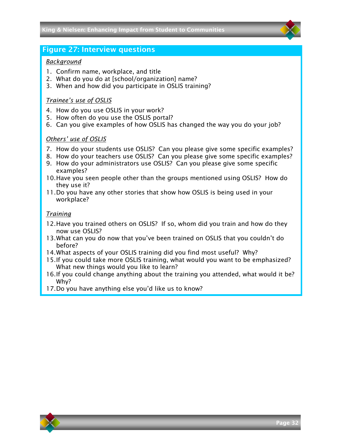#### <span id="page-32-0"></span>Figure 27: Interview questions

#### *Background*

- 1. Confirm name, workplace, and title
- 2. What do you do at [school/organization] name?
- 3. When and how did you participate in OSLIS training?

#### *Trainee's use of OSLIS*

- 4. How do you use OSLIS in your work?
- 5. How often do you use the OSLIS portal?
- 6. Can you give examples of how OSLIS has changed the way you do your job?

#### *Others' use of OSLIS*

- 7. How do your students use OSLIS? Can you please give some specific examples?
- 8. How do your teachers use OSLIS? Can you please give some specific examples?
- 9. How do your administrators use OSLIS? Can you please give some specific examples?
- 10.Have you seen people other than the groups mentioned using OSLIS? How do they use it?
- 11.Do you have any other stories that show how OSLIS is being used in your workplace?

#### *Training*

- 12.Have you trained others on OSLIS? If so, whom did you train and how do they now use OSLIS?
- 13.What can you do now that you've been trained on OSLIS that you couldn't do before?
- 14.What aspects of your OSLIS training did you find most useful? Why?
- 15.If you could take more OSLIS training, what would you want to be emphasized? What new things would you like to learn?
- 16.If you could change anything about the training you attended, what would it be? Why?
- 17.Do you have anything else you'd like us to know?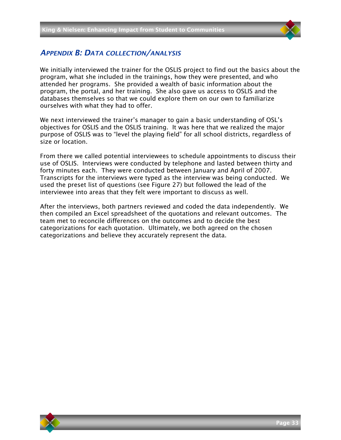

#### <span id="page-33-0"></span>*APPENDIX B: DATA COLLECTION/ANALYSIS*

We initially interviewed the trainer for the OSLIS project to find out the basics about the program, what she included in the trainings, how they were presented, and who attended her programs. She provided a wealth of basic information about the program, the portal, and her training. She also gave us access to OSLIS and the databases themselves so that we could explore them on our own to familiarize ourselves with what they had to offer.

We next interviewed the trainer's manager to gain a basic understanding of OSL's objectives for OSLIS and the OSLIS training. It was here that we realized the major purpose of OSLIS was to "level the playing field" for all school districts, regardless of size or location.

From there we called potential interviewees to schedule appointments to discuss their use of OSLIS. Interviews were conducted by telephone and lasted between thirty and forty minutes each. They were conducted between January and April of 2007. Transcripts for the interviews were typed as the interview was being conducted. We used the preset list of questions (see Figure 27) but followed the lead of the interviewee into areas that they felt were important to discuss as well.

After the interviews, both partners reviewed and coded the data independently. We then compiled an Excel spreadsheet of the quotations and relevant outcomes. The team met to reconcile differences on the outcomes and to decide the best categorizations for each quotation. Ultimately, we both agreed on the chosen categorizations and believe they accurately represent the data.